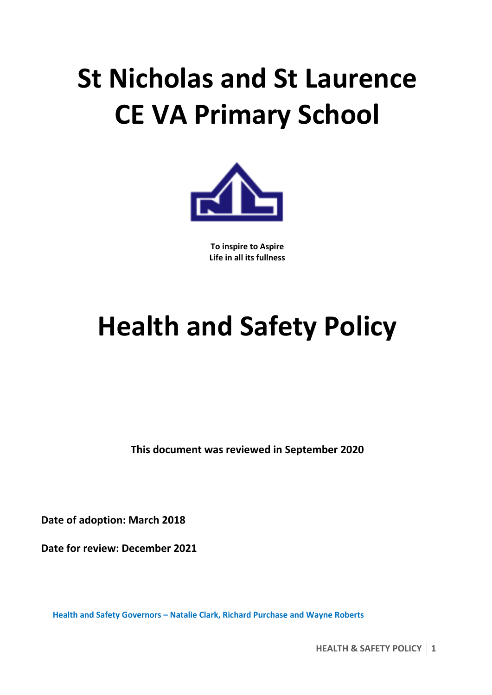# **St Nicholas and St Laurence CE VA Primary School**



**To inspire to Aspire Life in all its fullness**

# **Health and Safety Policy**

**This document was reviewed in September 2020**

**Date of adoption: March 2018**

**Date for review: December 2021**

**Health and Safety Governors – Natalie Clark, Richard Purchase and Wayne Roberts**

**HEALTH & SAFETY POLICY 1**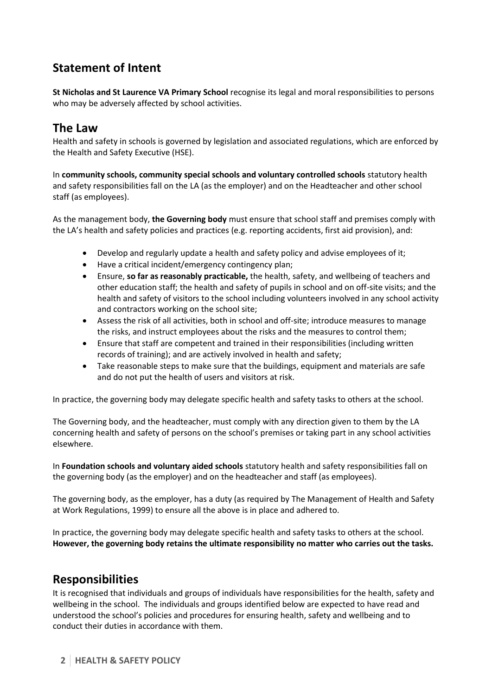# **Statement of Intent**

**St Nicholas and St Laurence VA Primary School** recognise its legal and moral responsibilities to persons who may be adversely affected by school activities.

# **The Law**

Health and safety in schools is governed by legislation and associated regulations, which are enforced by the Health and Safety Executive (HSE).

In **community schools, community special schools and voluntary controlled schools** statutory health and safety responsibilities fall on the LA (as the employer) and on the Headteacher and other school staff (as employees).

As the management body, **the Governing body** must ensure that school staff and premises comply with the LA's health and safety policies and practices (e.g. reporting accidents, first aid provision), and:

- Develop and regularly update a health and safety policy and advise employees of it;
- Have a critical incident/emergency contingency plan;
- Ensure, **so far as reasonably practicable,** the health, safety, and wellbeing of teachers and other education staff; the health and safety of pupils in school and on off-site visits; and the health and safety of visitors to the school including volunteers involved in any school activity and contractors working on the school site;
- Assess the risk of all activities, both in school and off-site; introduce measures to manage the risks, and instruct employees about the risks and the measures to control them;
- Ensure that staff are competent and trained in their responsibilities (including written records of training); and are actively involved in health and safety;
- Take reasonable steps to make sure that the buildings, equipment and materials are safe and do not put the health of users and visitors at risk.

In practice, the governing body may delegate specific health and safety tasks to others at the school.

The Governing body, and the headteacher, must comply with any direction given to them by the LA concerning health and safety of persons on the school's premises or taking part in any school activities elsewhere.

In **Foundation schools and voluntary aided schools** statutory health and safety responsibilities fall on the governing body (as the employer) and on the headteacher and staff (as employees).

The governing body, as the employer, has a duty (as required by The Management of Health and Safety at Work Regulations, 1999) to ensure all the above is in place and adhered to.

In practice, the governing body may delegate specific health and safety tasks to others at the school. **However, the governing body retains the ultimate responsibility no matter who carries out the tasks.**

# **Responsibilities**

It is recognised that individuals and groups of individuals have responsibilities for the health, safety and wellbeing in the school. The individuals and groups identified below are expected to have read and understood the school's policies and procedures for ensuring health, safety and wellbeing and to conduct their duties in accordance with them.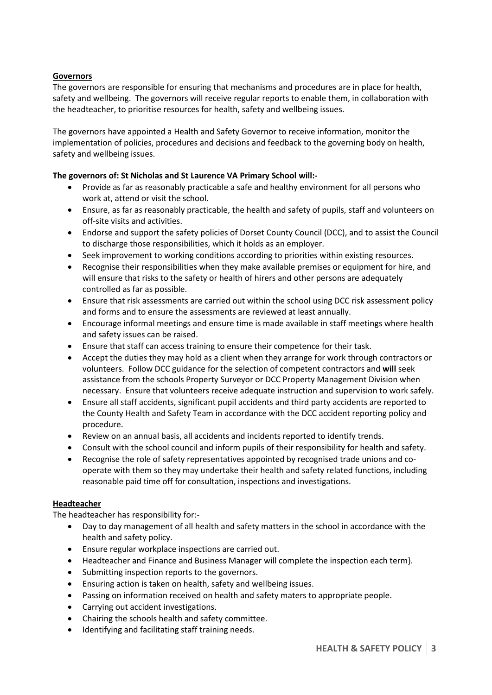### **Governors**

The governors are responsible for ensuring that mechanisms and procedures are in place for health, safety and wellbeing. The governors will receive regular reports to enable them, in collaboration with the headteacher, to prioritise resources for health, safety and wellbeing issues.

The governors have appointed a Health and Safety Governor to receive information, monitor the implementation of policies, procedures and decisions and feedback to the governing body on health, safety and wellbeing issues.

#### **The governors of: St Nicholas and St Laurence VA Primary School will:-**

- Provide as far as reasonably practicable a safe and healthy environment for all persons who work at, attend or visit the school.
- Ensure, as far as reasonably practicable, the health and safety of pupils, staff and volunteers on off-site visits and activities.
- Endorse and support the safety policies of Dorset County Council (DCC), and to assist the Council to discharge those responsibilities, which it holds as an employer.
- Seek improvement to working conditions according to priorities within existing resources.
- Recognise their responsibilities when they make available premises or equipment for hire, and will ensure that risks to the safety or health of hirers and other persons are adequately controlled as far as possible.
- Ensure that risk assessments are carried out within the school using DCC risk assessment policy and forms and to ensure the assessments are reviewed at least annually.
- Encourage informal meetings and ensure time is made available in staff meetings where health and safety issues can be raised.
- Ensure that staff can access training to ensure their competence for their task.
- Accept the duties they may hold as a client when they arrange for work through contractors or volunteers. Follow DCC guidance for the selection of competent contractors and **will** seek assistance from the schools Property Surveyor or DCC Property Management Division when necessary. Ensure that volunteers receive adequate instruction and supervision to work safely.
- Ensure all staff accidents, significant pupil accidents and third party accidents are reported to the County Health and Safety Team in accordance with the DCC accident reporting policy and procedure.
- Review on an annual basis, all accidents and incidents reported to identify trends.
- Consult with the school council and inform pupils of their responsibility for health and safety.
- Recognise the role of safety representatives appointed by recognised trade unions and cooperate with them so they may undertake their health and safety related functions, including reasonable paid time off for consultation, inspections and investigations.

#### **Headteacher**

The headteacher has responsibility for:-

- Day to day management of all health and safety matters in the school in accordance with the health and safety policy.
- Ensure regular workplace inspections are carried out.
- Headteacher and Finance and Business Manager will complete the inspection each term}.
- Submitting inspection reports to the governors.
- Ensuring action is taken on health, safety and wellbeing issues.
- Passing on information received on health and safety maters to appropriate people.
- Carrying out accident investigations.
- Chairing the schools health and safety committee.
- Identifying and facilitating staff training needs.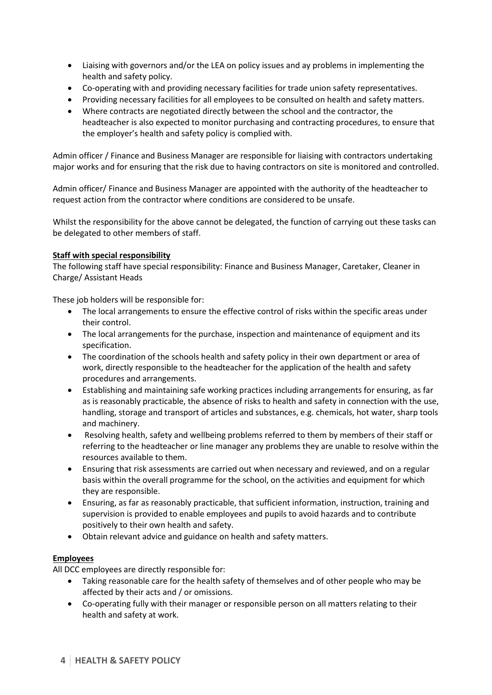- Liaising with governors and/or the LEA on policy issues and ay problems in implementing the health and safety policy.
- Co-operating with and providing necessary facilities for trade union safety representatives.
- Providing necessary facilities for all employees to be consulted on health and safety matters.
- Where contracts are negotiated directly between the school and the contractor, the headteacher is also expected to monitor purchasing and contracting procedures, to ensure that the employer's health and safety policy is complied with.

Admin officer / Finance and Business Manager are responsible for liaising with contractors undertaking major works and for ensuring that the risk due to having contractors on site is monitored and controlled.

Admin officer/ Finance and Business Manager are appointed with the authority of the headteacher to request action from the contractor where conditions are considered to be unsafe.

Whilst the responsibility for the above cannot be delegated, the function of carrying out these tasks can be delegated to other members of staff.

#### **Staff with special responsibility**

The following staff have special responsibility: Finance and Business Manager, Caretaker, Cleaner in Charge/ Assistant Heads

These job holders will be responsible for:

- The local arrangements to ensure the effective control of risks within the specific areas under their control.
- The local arrangements for the purchase, inspection and maintenance of equipment and its specification.
- The coordination of the schools health and safety policy in their own department or area of work, directly responsible to the headteacher for the application of the health and safety procedures and arrangements.
- Establishing and maintaining safe working practices including arrangements for ensuring, as far as is reasonably practicable, the absence of risks to health and safety in connection with the use, handling, storage and transport of articles and substances, e.g. chemicals, hot water, sharp tools and machinery.
- Resolving health, safety and wellbeing problems referred to them by members of their staff or referring to the headteacher or line manager any problems they are unable to resolve within the resources available to them.
- Ensuring that risk assessments are carried out when necessary and reviewed, and on a regular basis within the overall programme for the school, on the activities and equipment for which they are responsible.
- Ensuring, as far as reasonably practicable, that sufficient information, instruction, training and supervision is provided to enable employees and pupils to avoid hazards and to contribute positively to their own health and safety.
- Obtain relevant advice and guidance on health and safety matters.

# **Employees**

All DCC employees are directly responsible for:

- Taking reasonable care for the health safety of themselves and of other people who may be affected by their acts and / or omissions.
- Co-operating fully with their manager or responsible person on all matters relating to their health and safety at work.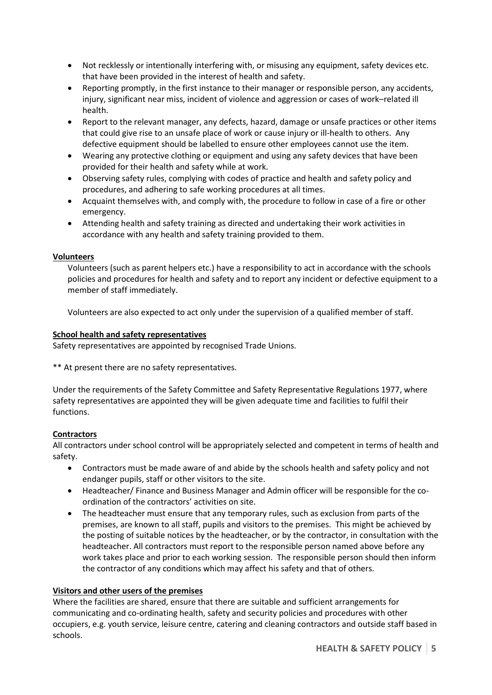- Not recklessly or intentionally interfering with, or misusing any equipment, safety devices etc. that have been provided in the interest of health and safety.
- Reporting promptly, in the first instance to their manager or responsible person, any accidents, injury, significant near miss, incident of violence and aggression or cases of work–related ill health.
- Report to the relevant manager, any defects, hazard, damage or unsafe practices or other items that could give rise to an unsafe place of work or cause injury or ill-health to others. Any defective equipment should be labelled to ensure other employees cannot use the item.
- Wearing any protective clothing or equipment and using any safety devices that have been provided for their health and safety while at work.
- Observing safety rules, complying with codes of practice and health and safety policy and procedures, and adhering to safe working procedures at all times.
- Acquaint themselves with, and comply with, the procedure to follow in case of a fire or other emergency.
- Attending health and safety training as directed and undertaking their work activities in accordance with any health and safety training provided to them.

# **Volunteers**

Volunteers (such as parent helpers etc.) have a responsibility to act in accordance with the schools policies and procedures for health and safety and to report any incident or defective equipment to a member of staff immediately.

Volunteers are also expected to act only under the supervision of a qualified member of staff.

# **School health and safety representatives**

Safety representatives are appointed by recognised Trade Unions.

\*\* At present there are no safety representatives.

Under the requirements of the Safety Committee and Safety Representative Regulations 1977, where safety representatives are appointed they will be given adequate time and facilities to fulfil their functions.

# **Contractors**

All contractors under school control will be appropriately selected and competent in terms of health and safety.

- Contractors must be made aware of and abide by the schools health and safety policy and not endanger pupils, staff or other visitors to the site.
- Headteacher/ Finance and Business Manager and Admin officer will be responsible for the coordination of the contractors' activities on site.
- The headteacher must ensure that any temporary rules, such as exclusion from parts of the premises, are known to all staff, pupils and visitors to the premises. This might be achieved by the posting of suitable notices by the headteacher, or by the contractor, in consultation with the headteacher. All contractors must report to the responsible person named above before any work takes place and prior to each working session. The responsible person should then inform the contractor of any conditions which may affect his safety and that of others.

# **Visitors and other users of the premises**

Where the facilities are shared, ensure that there are suitable and sufficient arrangements for communicating and co-ordinating health, safety and security policies and procedures with other occupiers, e.g. youth service, leisure centre, catering and cleaning contractors and outside staff based in schools.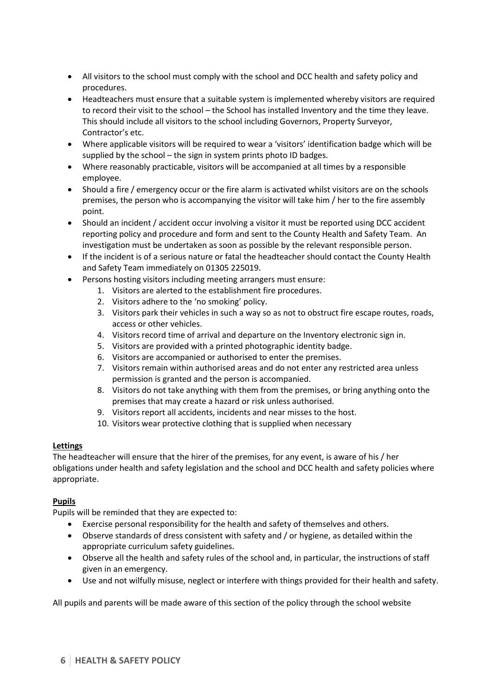- All visitors to the school must comply with the school and DCC health and safety policy and procedures.
- Headteachers must ensure that a suitable system is implemented whereby visitors are required to record their visit to the school – the School has installed Inventory and the time they leave. This should include all visitors to the school including Governors, Property Surveyor, Contractor's etc.
- Where applicable visitors will be required to wear a 'visitors' identification badge which will be supplied by the school – the sign in system prints photo ID badges.
- Where reasonably practicable, visitors will be accompanied at all times by a responsible employee.
- Should a fire / emergency occur or the fire alarm is activated whilst visitors are on the schools premises, the person who is accompanying the visitor will take him / her to the fire assembly point.
- Should an incident / accident occur involving a visitor it must be reported using DCC accident reporting policy and procedure and form and sent to the County Health and Safety Team. An investigation must be undertaken as soon as possible by the relevant responsible person.
- If the incident is of a serious nature or fatal the headteacher should contact the County Health and Safety Team immediately on 01305 225019.
- Persons hosting visitors including meeting arrangers must ensure:
	- 1. Visitors are alerted to the establishment fire procedures.
	- 2. Visitors adhere to the 'no smoking' policy.
	- 3. Visitors park their vehicles in such a way so as not to obstruct fire escape routes, roads, access or other vehicles.
	- 4. Visitors record time of arrival and departure on the Inventory electronic sign in.
	- 5. Visitors are provided with a printed photographic identity badge.
	- 6. Visitors are accompanied or authorised to enter the premises.
	- 7. Visitors remain within authorised areas and do not enter any restricted area unless permission is granted and the person is accompanied.
	- 8. Visitors do not take anything with them from the premises, or bring anything onto the premises that may create a hazard or risk unless authorised.
	- 9. Visitors report all accidents, incidents and near misses to the host.
	- 10. Visitors wear protective clothing that is supplied when necessary

# **Lettings**

The headteacher will ensure that the hirer of the premises, for any event, is aware of his / her obligations under health and safety legislation and the school and DCC health and safety policies where appropriate.

# **Pupils**

Pupils will be reminded that they are expected to:

- Exercise personal responsibility for the health and safety of themselves and others.
- Observe standards of dress consistent with safety and / or hygiene, as detailed within the appropriate curriculum safety guidelines.
- Observe all the health and safety rules of the school and, in particular, the instructions of staff given in an emergency.
- Use and not wilfully misuse, neglect or interfere with things provided for their health and safety.

All pupils and parents will be made aware of this section of the policy through the school website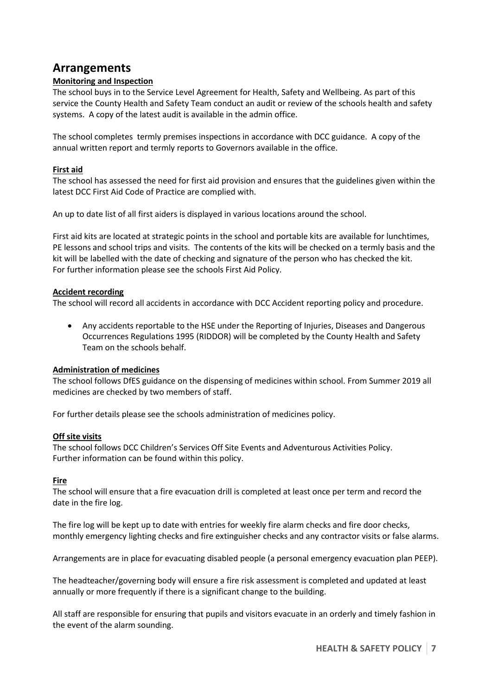# **Arrangements**

# **Monitoring and Inspection**

The school buys in to the Service Level Agreement for Health, Safety and Wellbeing. As part of this service the County Health and Safety Team conduct an audit or review of the schools health and safety systems. A copy of the latest audit is available in the admin office.

The school completes termly premises inspections in accordance with DCC guidance. A copy of the annual written report and termly reports to Governors available in the office.

# **First aid**

The school has assessed the need for first aid provision and ensures that the guidelines given within the latest DCC First Aid Code of Practice are complied with.

An up to date list of all first aiders is displayed in various locations around the school.

First aid kits are located at strategic points in the school and portable kits are available for lunchtimes, PE lessons and school trips and visits. The contents of the kits will be checked on a termly basis and the kit will be labelled with the date of checking and signature of the person who has checked the kit. For further information please see the schools First Aid Policy.

#### **Accident recording**

The school will record all accidents in accordance with DCC Accident reporting policy and procedure.

 Any accidents reportable to the HSE under the Reporting of Injuries, Diseases and Dangerous Occurrences Regulations 1995 (RIDDOR) will be completed by the County Health and Safety Team on the schools behalf.

#### **Administration of medicines**

The school follows DfES guidance on the dispensing of medicines within school. From Summer 2019 all medicines are checked by two members of staff.

For further details please see the schools administration of medicines policy.

#### **Off site visits**

The school follows DCC Children's Services Off Site Events and Adventurous Activities Policy. Further information can be found within this policy.

#### **Fire**

The school will ensure that a fire evacuation drill is completed at least once per term and record the date in the fire log.

The fire log will be kept up to date with entries for weekly fire alarm checks and fire door checks, monthly emergency lighting checks and fire extinguisher checks and any contractor visits or false alarms.

Arrangements are in place for evacuating disabled people (a personal emergency evacuation plan PEEP).

The headteacher/governing body will ensure a fire risk assessment is completed and updated at least annually or more frequently if there is a significant change to the building.

All staff are responsible for ensuring that pupils and visitors evacuate in an orderly and timely fashion in the event of the alarm sounding.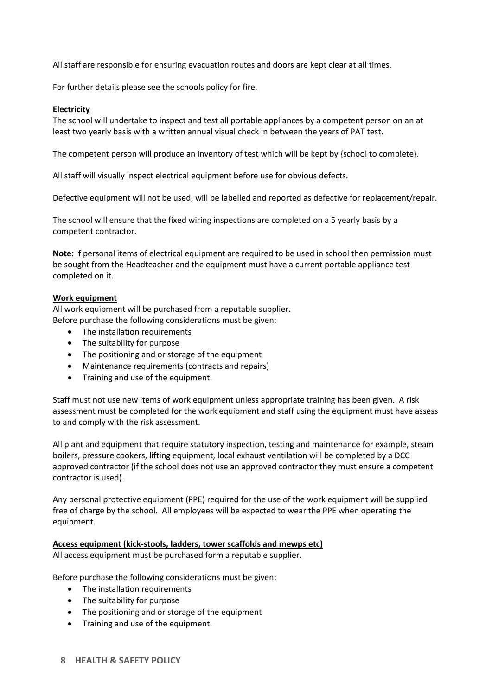All staff are responsible for ensuring evacuation routes and doors are kept clear at all times.

For further details please see the schools policy for fire.

#### **Electricity**

The school will undertake to inspect and test all portable appliances by a competent person on an at least two yearly basis with a written annual visual check in between the years of PAT test.

The competent person will produce an inventory of test which will be kept by {school to complete}.

All staff will visually inspect electrical equipment before use for obvious defects.

Defective equipment will not be used, will be labelled and reported as defective for replacement/repair.

The school will ensure that the fixed wiring inspections are completed on a 5 yearly basis by a competent contractor.

**Note:** If personal items of electrical equipment are required to be used in school then permission must be sought from the Headteacher and the equipment must have a current portable appliance test completed on it.

#### **Work equipment**

All work equipment will be purchased from a reputable supplier. Before purchase the following considerations must be given:

- The installation requirements
- The suitability for purpose
- The positioning and or storage of the equipment
- Maintenance requirements (contracts and repairs)
- Training and use of the equipment.

Staff must not use new items of work equipment unless appropriate training has been given. A risk assessment must be completed for the work equipment and staff using the equipment must have assess to and comply with the risk assessment.

All plant and equipment that require statutory inspection, testing and maintenance for example, steam boilers, pressure cookers, lifting equipment, local exhaust ventilation will be completed by a DCC approved contractor (if the school does not use an approved contractor they must ensure a competent contractor is used).

Any personal protective equipment (PPE) required for the use of the work equipment will be supplied free of charge by the school. All employees will be expected to wear the PPE when operating the equipment.

**Access equipment (kick-stools, ladders, tower scaffolds and mewps etc)** All access equipment must be purchased form a reputable supplier.

Before purchase the following considerations must be given:

- The installation requirements
- The suitability for purpose
- The positioning and or storage of the equipment
- Training and use of the equipment.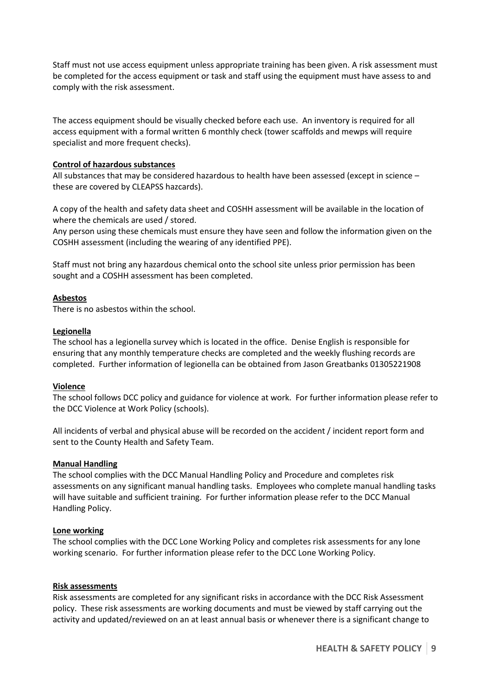Staff must not use access equipment unless appropriate training has been given. A risk assessment must be completed for the access equipment or task and staff using the equipment must have assess to and comply with the risk assessment.

The access equipment should be visually checked before each use. An inventory is required for all access equipment with a formal written 6 monthly check (tower scaffolds and mewps will require specialist and more frequent checks).

#### **Control of hazardous substances**

All substances that may be considered hazardous to health have been assessed (except in science – these are covered by CLEAPSS hazcards).

A copy of the health and safety data sheet and COSHH assessment will be available in the location of where the chemicals are used / stored.

Any person using these chemicals must ensure they have seen and follow the information given on the COSHH assessment (including the wearing of any identified PPE).

Staff must not bring any hazardous chemical onto the school site unless prior permission has been sought and a COSHH assessment has been completed.

#### **Asbestos**

There is no asbestos within the school.

#### **Legionella**

The school has a legionella survey which is located in the office. Denise English is responsible for ensuring that any monthly temperature checks are completed and the weekly flushing records are completed. Further information of legionella can be obtained from Jason Greatbanks 01305221908

#### **Violence**

The school follows DCC policy and guidance for violence at work. For further information please refer to the DCC Violence at Work Policy (schools).

All incidents of verbal and physical abuse will be recorded on the accident / incident report form and sent to the County Health and Safety Team.

#### **Manual Handling**

The school complies with the DCC Manual Handling Policy and Procedure and completes risk assessments on any significant manual handling tasks. Employees who complete manual handling tasks will have suitable and sufficient training. For further information please refer to the DCC Manual Handling Policy.

#### **Lone working**

The school complies with the DCC Lone Working Policy and completes risk assessments for any lone working scenario. For further information please refer to the DCC Lone Working Policy.

#### **Risk assessments**

Risk assessments are completed for any significant risks in accordance with the DCC Risk Assessment policy. These risk assessments are working documents and must be viewed by staff carrying out the activity and updated/reviewed on an at least annual basis or whenever there is a significant change to